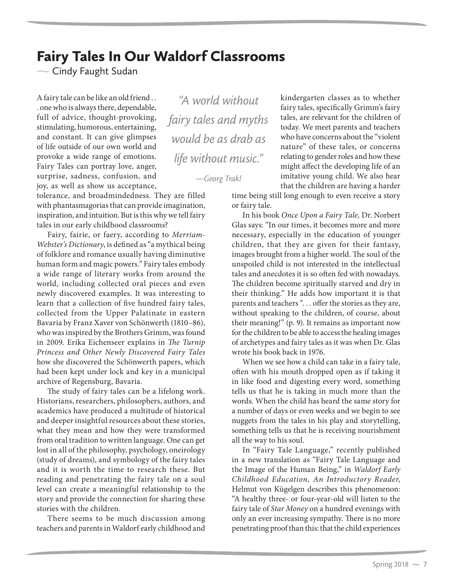## Fairy Tales In Our Waldorf Classrooms

 $\sim$  Cindy Faught Sudan

A fairy tale can be like an old friend . . . one who is always there, dependable, full of advice, thought-provoking, stimulating, humorous, entertaining, and constant. It can give glimpses of life outside of our own world and provoke a wide range of emotions. Fairy Tales can portray love, anger, surprise, sadness, confusion, and joy, as well as show us acceptance,

tolerance, and broadmindedness. They are filled with phantasmagorias that can provide imagination, inspiration, and intuition. But is this why we tell fairy tales in our early childhood classrooms?

Fairy, fairie, or faery, according to *Merriam-Webster's Dictionary*, is defined as "a mythical being of folklore and romance usually having diminutive human form and magic powers." Fairy tales embody a wide range of literary works from around the world, including collected oral pieces and even newly discovered examples. It was interesting to learn that a collection of five hundred fairy tales, collected from the Upper Palatinate in eastern Bavaria by Franz Xaver von Schönwerth (1810–86), who was inspired by the Brothers Grimm, was found in 2009. Erika Eichenseer explains in *The Turnip Princess and Other Newly Discovered Fairy Tales*  how she discovered the Schönwerth papers, which had been kept under lock and key in a municipal archive of Regensburg, Bavaria.

The study of fairy tales can be a lifelong work. Historians, researchers, philosophers, authors, and academics have produced a multitude of historical and deeper insightful resources about these stories, what they mean and how they were transformed from oral tradition to written language. One can get lost in all of the philosophy, psychology, oneirology (study of dreams), and symbology of the fairy tales and it is worth the time to research these. But reading and penetrating the fairy tale on a soul level can create a meaningful relationship to the story and provide the connection for sharing these stories with the children.

There seems to be much discussion among teachers and parents in Waldorf early childhood and

*"A world without fairy tales and myths would be as drab as life without music."*

*—Georg Trakl*

kindergarten classes as to whether fairy tales, specifically Grimm's fairy tales, are relevant for the children of today. We meet parents and teachers who have concerns about the "violent nature" of these tales, or concerns relating to gender roles and how these might affect the developing life of an imitative young child. We also hear that the children are having a harder

time being still long enough to even receive a story or fairy tale.

In his book *Once Upon a Fairy Tale,* Dr. Norbert Glas says: "In our times, it becomes more and more necessary, especially in the education of younger children, that they are given for their fantasy, images brought from a higher world. The soul of the unspoiled child is not interested in the intellectual tales and anecdotes it is so often fed with nowadays. The children become spiritually starved and dry in their thinking." He adds how important it is that parents and teachers "... offer the stories as they are, without speaking to the children, of course, about their meaning!" (p. 9). It remains as important now for the children to be able to access the healing images of archetypes and fairy tales as it was when Dr. Glas wrote his book back in 1976.

When we see how a child can take in a fairy tale, often with his mouth dropped open as if taking it in like food and digesting every word, something tells us that he is taking in much more than the words. When the child has heard the same story for a number of days or even weeks and we begin to see nuggets from the tales in his play and storytelling, something tells us that he is receiving nourishment all the way to his soul.

In "Fairy Tale Language," recently published in a new translation as "Fairy Tale Language and the Image of the Human Being," in *Waldorf Early Childhood Education, An Introductory Reader*, Helmut von Kügelgen describes this phenomenon: "A healthy three- or four-year-old will listen to the fairy tale of *Star Money* on a hundred evenings with only an ever increasing sympathy. There is no more penetrating proof than this: that the child experiences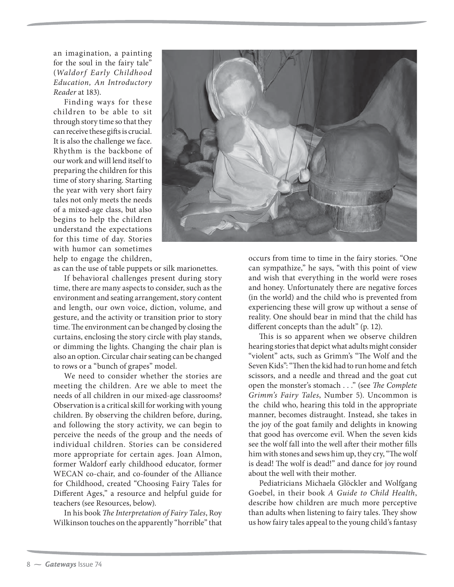an imagination, a painting for the soul in the fairy tale" (*Waldorf Early Childhood Education, An Introductory Reader* at 183).

Finding ways for these children to be able to sit through story time so that they can receive these gifts is crucial. It is also the challenge we face. Rhythm is the backbone of our work and will lend itself to preparing the children for this time of story sharing. Starting the year with very short fairy tales not only meets the needs of a mixed-age class, but also begins to help the children understand the expectations for this time of day. Stories with humor can sometimes help to engage the children,



as can the use of table puppets or silk marionettes.

If behavioral challenges present during story time, there are many aspects to consider, such as the environment and seating arrangement, story content and length, our own voice, diction, volume, and gesture, and the activity or transition prior to story time. The environment can be changed by closing the curtains, enclosing the story circle with play stands, or dimming the lights. Changing the chair plan is also an option. Circular chair seating can be changed to rows or a "bunch of grapes" model.

We need to consider whether the stories are meeting the children. Are we able to meet the needs of all children in our mixed-age classrooms? Observation is a critical skill for working with young children. By observing the children before, during, and following the story activity, we can begin to perceive the needs of the group and the needs of individual children. Stories can be considered more appropriate for certain ages. Joan Almon, former Waldorf early childhood educator, former WECAN co-chair, and co-founder of the Alliance for Childhood, created "Choosing Fairy Tales for Different Ages," a resource and helpful guide for teachers (see Resources, below).

In his book *The Interpretation of Fairy Tales*, Roy Wilkinson touches on the apparently "horrible" that occurs from time to time in the fairy stories. "One can sympathize," he says, "with this point of view and wish that everything in the world were roses and honey. Unfortunately there are negative forces (in the world) and the child who is prevented from experiencing these will grow up without a sense of reality. One should bear in mind that the child has different concepts than the adult" (p. 12).

This is so apparent when we observe children hearing stories that depict what adults might consider "violent" acts, such as Grimm's "The Wolf and the Seven Kids":"Then the kid had to run home and fetch scissors, and a needle and thread and the goat cut open the monster's stomach . . ." (see *The Complete Grimm's Fairy Tales*, Number 5). Uncommon is the child who, hearing this told in the appropriate manner, becomes distraught. Instead, she takes in the joy of the goat family and delights in knowing that good has overcome evil. When the seven kids see the wolf fall into the well after their mother fills him with stones and sews him up, they cry, "The wolf is dead! The wolf is dead!" and dance for joy round about the well with their mother.

Pediatricians Michaela Glöckler and Wolfgang Goebel, in their book *A Guide to Child Health*, describe how children are much more perceptive than adults when listening to fairy tales. They show us how fairy tales appeal to the young child's fantasy